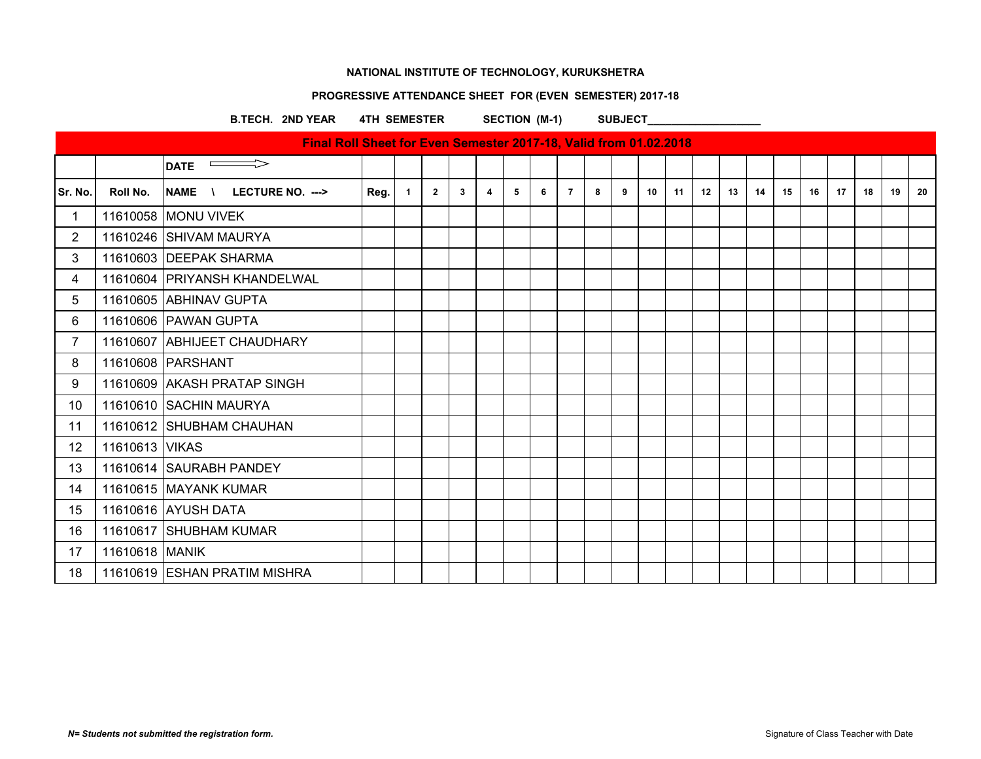## **PROGRESSIVE ATTENDANCE SHEET FOR (EVEN SEMESTER) 2017-18**

B.TECH. 2ND YEAR 4TH SEMESTER SECTION (M-1) SUBJECT

|                |                | Final Roll Sheet for Even Semester 2017-18, Valid from 01.02.2018 |      |                |                |   |                |   |   |                |   |   |    |    |    |    |    |    |    |    |    |    |    |
|----------------|----------------|-------------------------------------------------------------------|------|----------------|----------------|---|----------------|---|---|----------------|---|---|----|----|----|----|----|----|----|----|----|----|----|
|                |                | $\implies$<br><b>DATE</b>                                         |      |                |                |   |                |   |   |                |   |   |    |    |    |    |    |    |    |    |    |    |    |
| Sr. No.        | Roll No.       | NAME \<br>LECTURE NO. --->                                        | Reg. | $\overline{1}$ | $\overline{2}$ | 3 | $\overline{4}$ | 5 | 6 | $\overline{7}$ | 8 | 9 | 10 | 11 | 12 | 13 | 14 | 15 | 16 | 17 | 18 | 19 | 20 |
| 1              |                | 11610058 MONU VIVEK                                               |      |                |                |   |                |   |   |                |   |   |    |    |    |    |    |    |    |    |    |    |    |
| $\overline{2}$ |                | 11610246 SHIVAM MAURYA                                            |      |                |                |   |                |   |   |                |   |   |    |    |    |    |    |    |    |    |    |    |    |
| 3              |                | 11610603 DEEPAK SHARMA                                            |      |                |                |   |                |   |   |                |   |   |    |    |    |    |    |    |    |    |    |    |    |
| 4              |                | 11610604 PRIYANSH KHANDELWAL                                      |      |                |                |   |                |   |   |                |   |   |    |    |    |    |    |    |    |    |    |    |    |
| 5              |                | 11610605 ABHINAV GUPTA                                            |      |                |                |   |                |   |   |                |   |   |    |    |    |    |    |    |    |    |    |    |    |
| 6              |                | 11610606 PAWAN GUPTA                                              |      |                |                |   |                |   |   |                |   |   |    |    |    |    |    |    |    |    |    |    |    |
| $\overline{7}$ |                | 11610607 ABHIJEET CHAUDHARY                                       |      |                |                |   |                |   |   |                |   |   |    |    |    |    |    |    |    |    |    |    |    |
| 8              |                | 11610608 PARSHANT                                                 |      |                |                |   |                |   |   |                |   |   |    |    |    |    |    |    |    |    |    |    |    |
| 9              |                | 11610609 AKASH PRATAP SINGH                                       |      |                |                |   |                |   |   |                |   |   |    |    |    |    |    |    |    |    |    |    |    |
| 10             |                | 11610610 SACHIN MAURYA                                            |      |                |                |   |                |   |   |                |   |   |    |    |    |    |    |    |    |    |    |    |    |
| 11             |                | 11610612 SHUBHAM CHAUHAN                                          |      |                |                |   |                |   |   |                |   |   |    |    |    |    |    |    |    |    |    |    |    |
| 12             | 11610613 VIKAS |                                                                   |      |                |                |   |                |   |   |                |   |   |    |    |    |    |    |    |    |    |    |    |    |
| 13             |                | 11610614 SAURABH PANDEY                                           |      |                |                |   |                |   |   |                |   |   |    |    |    |    |    |    |    |    |    |    |    |
| 14             |                | 11610615 MAYANK KUMAR                                             |      |                |                |   |                |   |   |                |   |   |    |    |    |    |    |    |    |    |    |    |    |
| 15             |                | 11610616 AYUSH DATA                                               |      |                |                |   |                |   |   |                |   |   |    |    |    |    |    |    |    |    |    |    |    |
| 16             |                | 11610617 SHUBHAM KUMAR                                            |      |                |                |   |                |   |   |                |   |   |    |    |    |    |    |    |    |    |    |    |    |
| 17             | 11610618 MANIK |                                                                   |      |                |                |   |                |   |   |                |   |   |    |    |    |    |    |    |    |    |    |    |    |
| 18             |                | 11610619 ESHAN PRATIM MISHRA                                      |      |                |                |   |                |   |   |                |   |   |    |    |    |    |    |    |    |    |    |    |    |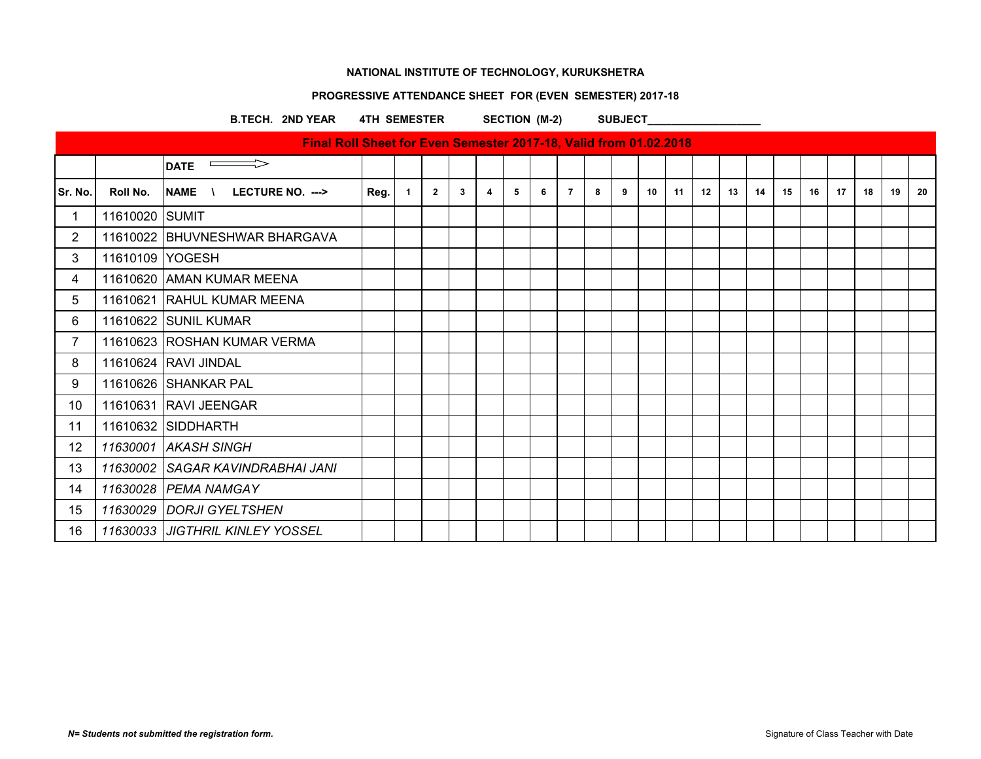# **PROGRESSIVE ATTENDANCE SHEET FOR (EVEN SEMESTER) 2017-18**

### B.TECH. 2ND YEAR 4TH SEMESTER SECTION (M-2) SUBJECT

|                |                 | Final Roll Sheet for Even Semester 2017-18, Valid from 01.02.2018 |      |              |                |   |   |   |   |                |   |   |    |    |    |    |    |    |    |    |    |    |    |
|----------------|-----------------|-------------------------------------------------------------------|------|--------------|----------------|---|---|---|---|----------------|---|---|----|----|----|----|----|----|----|----|----|----|----|
|                |                 | <b>DATE</b>                                                       |      |              |                |   |   |   |   |                |   |   |    |    |    |    |    |    |    |    |    |    |    |
| Sr. No.        | Roll No.        | NAME \<br>LECTURE NO. --->                                        | Reg. | $\mathbf{1}$ | $\overline{2}$ | 3 | 4 | 5 | 6 | $\overline{7}$ | 8 | 9 | 10 | 11 | 12 | 13 | 14 | 15 | 16 | 17 | 18 | 19 | 20 |
| $\mathbf 1$    | 11610020 SUMIT  |                                                                   |      |              |                |   |   |   |   |                |   |   |    |    |    |    |    |    |    |    |    |    |    |
| $\overline{2}$ |                 | 11610022 BHUVNESHWAR BHARGAVA                                     |      |              |                |   |   |   |   |                |   |   |    |    |    |    |    |    |    |    |    |    |    |
| 3              | 11610109 YOGESH |                                                                   |      |              |                |   |   |   |   |                |   |   |    |    |    |    |    |    |    |    |    |    |    |
| 4              |                 | 11610620 AMAN KUMAR MEENA                                         |      |              |                |   |   |   |   |                |   |   |    |    |    |    |    |    |    |    |    |    |    |
| 5              |                 | 11610621 RAHUL KUMAR MEENA                                        |      |              |                |   |   |   |   |                |   |   |    |    |    |    |    |    |    |    |    |    |    |
| 6              |                 | 11610622 SUNIL KUMAR                                              |      |              |                |   |   |   |   |                |   |   |    |    |    |    |    |    |    |    |    |    |    |
| $\overline{7}$ |                 | 11610623 ROSHAN KUMAR VERMA                                       |      |              |                |   |   |   |   |                |   |   |    |    |    |    |    |    |    |    |    |    |    |
| 8              |                 | 11610624 RAVI JINDAL                                              |      |              |                |   |   |   |   |                |   |   |    |    |    |    |    |    |    |    |    |    |    |
| 9              |                 | 11610626 SHANKAR PAL                                              |      |              |                |   |   |   |   |                |   |   |    |    |    |    |    |    |    |    |    |    |    |
| 10             |                 | 11610631   RAVI JEENGAR                                           |      |              |                |   |   |   |   |                |   |   |    |    |    |    |    |    |    |    |    |    |    |
| 11             |                 | 11610632 SIDDHARTH                                                |      |              |                |   |   |   |   |                |   |   |    |    |    |    |    |    |    |    |    |    |    |
| 12             |                 | 11630001 AKASH SINGH                                              |      |              |                |   |   |   |   |                |   |   |    |    |    |    |    |    |    |    |    |    |    |
| 13             |                 | 11630002 SAGAR KAVINDRABHAI JANI                                  |      |              |                |   |   |   |   |                |   |   |    |    |    |    |    |    |    |    |    |    |    |
| 14             |                 | 11630028 PEMA NAMGAY                                              |      |              |                |   |   |   |   |                |   |   |    |    |    |    |    |    |    |    |    |    |    |
| 15             |                 | 11630029 DORJI GYELTSHEN                                          |      |              |                |   |   |   |   |                |   |   |    |    |    |    |    |    |    |    |    |    |    |
| 16             |                 | 11630033 JIGTHRIL KINLEY YOSSEL                                   |      |              |                |   |   |   |   |                |   |   |    |    |    |    |    |    |    |    |    |    |    |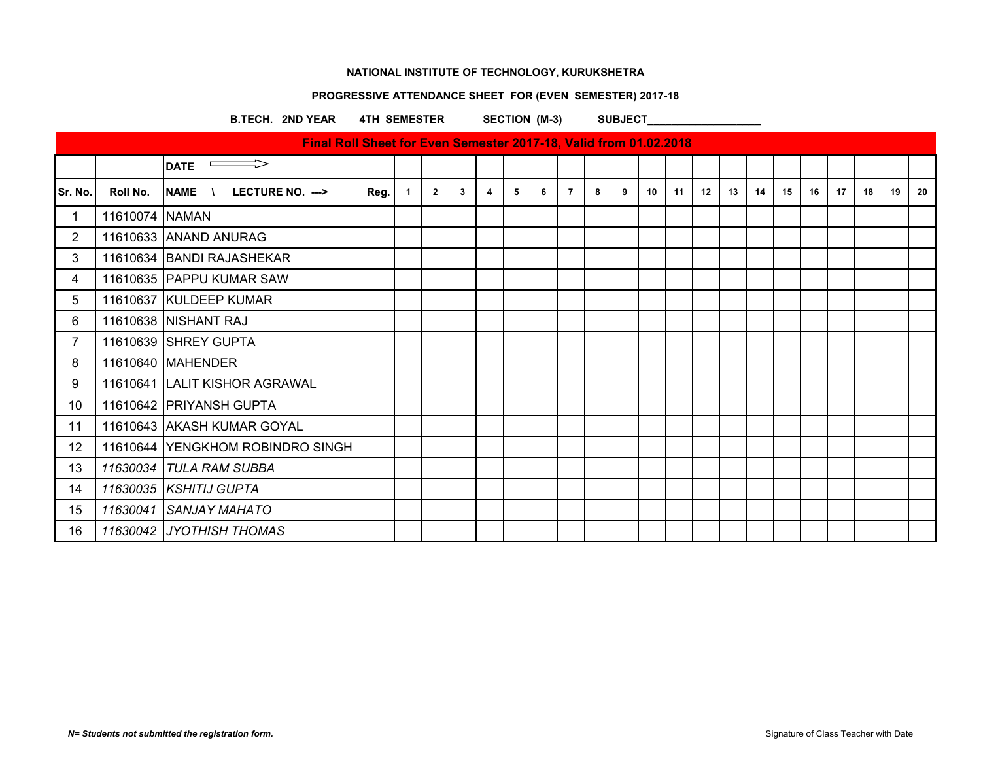## **PROGRESSIVE ATTENDANCE SHEET FOR (EVEN SEMESTER) 2017-18**

B.TECH. 2ND YEAR 4TH SEMESTER SECTION (M-3) SUBJECT

|                |                | Final Roll Sheet for Even Semester 2017-18, Valid from 01.02.2018 |      |                |                |              |                |   |   |                |   |   |    |    |    |    |    |    |    |    |    |    |    |
|----------------|----------------|-------------------------------------------------------------------|------|----------------|----------------|--------------|----------------|---|---|----------------|---|---|----|----|----|----|----|----|----|----|----|----|----|
|                |                | $\overline{\phantom{a}}$ DATE $\overline{\phantom{a}}$            |      |                |                |              |                |   |   |                |   |   |    |    |    |    |    |    |    |    |    |    |    |
| Sr. No.        | Roll No.       | NAME \<br>LECTURE NO. --->                                        | Reg. | $\overline{1}$ | $\overline{2}$ | $\mathbf{3}$ | $\overline{4}$ | 5 | 6 | $\overline{7}$ | 8 | 9 | 10 | 11 | 12 | 13 | 14 | 15 | 16 | 17 | 18 | 19 | 20 |
| 1              | 11610074 NAMAN |                                                                   |      |                |                |              |                |   |   |                |   |   |    |    |    |    |    |    |    |    |    |    |    |
| $\overline{2}$ |                | 11610633 ANAND ANURAG                                             |      |                |                |              |                |   |   |                |   |   |    |    |    |    |    |    |    |    |    |    |    |
| 3              |                | 11610634 BANDI RAJASHEKAR                                         |      |                |                |              |                |   |   |                |   |   |    |    |    |    |    |    |    |    |    |    |    |
| 4              |                | 11610635 PAPPU KUMAR SAW                                          |      |                |                |              |                |   |   |                |   |   |    |    |    |    |    |    |    |    |    |    |    |
| 5              |                | 11610637 KULDEEP KUMAR                                            |      |                |                |              |                |   |   |                |   |   |    |    |    |    |    |    |    |    |    |    |    |
| 6              |                | 11610638 NISHANT RAJ                                              |      |                |                |              |                |   |   |                |   |   |    |    |    |    |    |    |    |    |    |    |    |
| $\overline{7}$ |                | 11610639 SHREY GUPTA                                              |      |                |                |              |                |   |   |                |   |   |    |    |    |    |    |    |    |    |    |    |    |
| 8              |                | 11610640 MAHENDER                                                 |      |                |                |              |                |   |   |                |   |   |    |    |    |    |    |    |    |    |    |    |    |
| 9              |                | 11610641 LALIT KISHOR AGRAWAL                                     |      |                |                |              |                |   |   |                |   |   |    |    |    |    |    |    |    |    |    |    |    |
| 10             |                | 11610642 PRIYANSH GUPTA                                           |      |                |                |              |                |   |   |                |   |   |    |    |    |    |    |    |    |    |    |    |    |
| 11             |                | 11610643 AKASH KUMAR GOYAL                                        |      |                |                |              |                |   |   |                |   |   |    |    |    |    |    |    |    |    |    |    |    |
| 12             |                | 11610644 YENGKHOM ROBINDRO SINGH                                  |      |                |                |              |                |   |   |                |   |   |    |    |    |    |    |    |    |    |    |    |    |
| 13             |                | 11630034 TULA RAM SUBBA                                           |      |                |                |              |                |   |   |                |   |   |    |    |    |    |    |    |    |    |    |    |    |
| 14             |                | 11630035 KSHITIJ GUPTA                                            |      |                |                |              |                |   |   |                |   |   |    |    |    |    |    |    |    |    |    |    |    |
| 15             |                | 11630041 SANJAY MAHATO                                            |      |                |                |              |                |   |   |                |   |   |    |    |    |    |    |    |    |    |    |    |    |
| 16             |                | 11630042 JYOTHISH THOMAS                                          |      |                |                |              |                |   |   |                |   |   |    |    |    |    |    |    |    |    |    |    |    |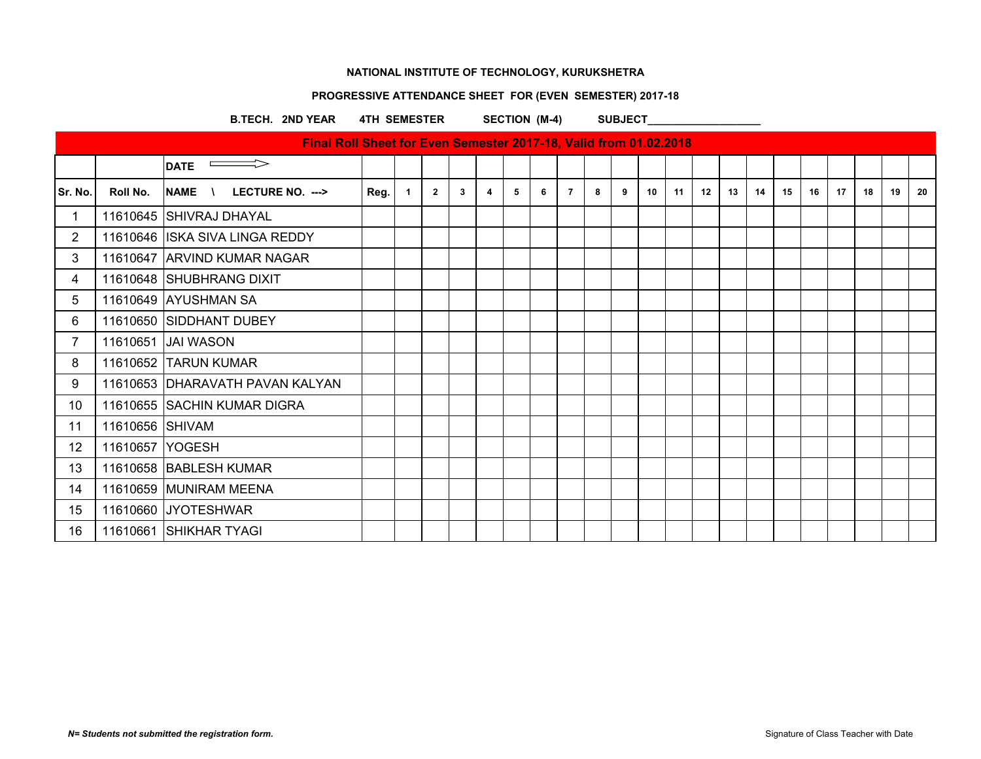## **PROGRESSIVE ATTENDANCE SHEET FOR (EVEN SEMESTER) 2017-18**

### B.TECH. 2ND YEAR 4TH SEMESTER SECTION (M-4) SUBJECT

|                |                 | Final Roll Sheet for Even Semester 2017-18, Valid from 01.02.2018 |      |                |                |              |                |   |   |                |   |   |    |    |    |    |    |    |    |    |    |    |    |
|----------------|-----------------|-------------------------------------------------------------------|------|----------------|----------------|--------------|----------------|---|---|----------------|---|---|----|----|----|----|----|----|----|----|----|----|----|
|                |                 | <b>DATE</b>                                                       |      |                |                |              |                |   |   |                |   |   |    |    |    |    |    |    |    |    |    |    |    |
| Sr. No.        | Roll No.        | NAME \<br>LECTURE NO. --->                                        | Reg. | $\overline{1}$ | $\overline{2}$ | $\mathbf{3}$ | $\overline{4}$ | 5 | 6 | $\overline{7}$ | 8 | 9 | 10 | 11 | 12 | 13 | 14 | 15 | 16 | 17 | 18 | 19 | 20 |
| $\mathbf{1}$   |                 | 11610645 SHIVRAJ DHAYAL                                           |      |                |                |              |                |   |   |                |   |   |    |    |    |    |    |    |    |    |    |    |    |
| $\overline{2}$ |                 | 11610646 ISKA SIVA LINGA REDDY                                    |      |                |                |              |                |   |   |                |   |   |    |    |    |    |    |    |    |    |    |    |    |
| 3              |                 | 11610647 ARVIND KUMAR NAGAR                                       |      |                |                |              |                |   |   |                |   |   |    |    |    |    |    |    |    |    |    |    |    |
| 4              |                 | 11610648 SHUBHRANG DIXIT                                          |      |                |                |              |                |   |   |                |   |   |    |    |    |    |    |    |    |    |    |    |    |
| 5              |                 | 11610649 AYUSHMAN SA                                              |      |                |                |              |                |   |   |                |   |   |    |    |    |    |    |    |    |    |    |    |    |
| 6              |                 | 11610650 SIDDHANT DUBEY                                           |      |                |                |              |                |   |   |                |   |   |    |    |    |    |    |    |    |    |    |    |    |
| $\overline{7}$ |                 | 11610651 JAI WASON                                                |      |                |                |              |                |   |   |                |   |   |    |    |    |    |    |    |    |    |    |    |    |
| 8              |                 | 11610652 TARUN KUMAR                                              |      |                |                |              |                |   |   |                |   |   |    |    |    |    |    |    |    |    |    |    |    |
| 9              |                 | 11610653 DHARAVATH PAVAN KALYAN                                   |      |                |                |              |                |   |   |                |   |   |    |    |    |    |    |    |    |    |    |    |    |
| 10             |                 | 11610655 SACHIN KUMAR DIGRA                                       |      |                |                |              |                |   |   |                |   |   |    |    |    |    |    |    |    |    |    |    |    |
| 11             | 11610656 SHIVAM |                                                                   |      |                |                |              |                |   |   |                |   |   |    |    |    |    |    |    |    |    |    |    |    |
| 12             | 11610657 YOGESH |                                                                   |      |                |                |              |                |   |   |                |   |   |    |    |    |    |    |    |    |    |    |    |    |
| 13             |                 | 11610658 BABLESH KUMAR                                            |      |                |                |              |                |   |   |                |   |   |    |    |    |    |    |    |    |    |    |    |    |
| 14             |                 | 11610659 MUNIRAM MEENA                                            |      |                |                |              |                |   |   |                |   |   |    |    |    |    |    |    |    |    |    |    |    |
| 15             |                 | 11610660 JYOTESHWAR                                               |      |                |                |              |                |   |   |                |   |   |    |    |    |    |    |    |    |    |    |    |    |
| 16             |                 | 11610661 SHIKHAR TYAGI                                            |      |                |                |              |                |   |   |                |   |   |    |    |    |    |    |    |    |    |    |    |    |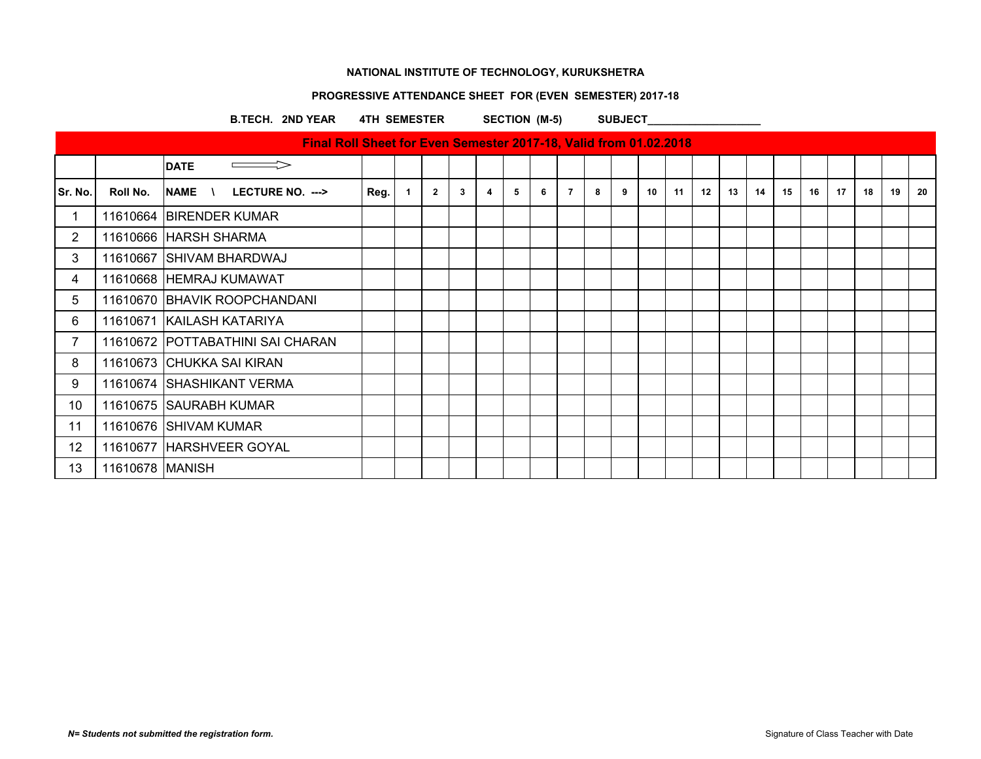## **PROGRESSIVE ATTENDANCE SHEET FOR (EVEN SEMESTER) 2017-18**

### B.TECH. 2ND YEAR 4TH SEMESTER SECTION (M-5) SUBJECT

|                |                   | Final Roll Sheet for Even Semester 2017-18, Valid from 01.02.2018 |      |                |             |   |   |   |   |                |    |   |    |    |    |    |    |    |    |    |    |    |    |
|----------------|-------------------|-------------------------------------------------------------------|------|----------------|-------------|---|---|---|---|----------------|----|---|----|----|----|----|----|----|----|----|----|----|----|
|                |                   | <b>DATE</b>                                                       |      |                |             |   |   |   |   |                |    |   |    |    |    |    |    |    |    |    |    |    |    |
| Sr. No.        | Roll No.          | <b>NAME</b><br>LECTURE NO. ---><br>$\mathcal{N}$                  | Reg. | $\overline{1}$ | $2^{\circ}$ | 3 | 4 | 5 | 6 | $\overline{7}$ | -8 | 9 | 10 | 11 | 12 | 13 | 14 | 15 | 16 | 17 | 18 | 19 | 20 |
| 1              |                   | 11610664 BIRENDER KUMAR                                           |      |                |             |   |   |   |   |                |    |   |    |    |    |    |    |    |    |    |    |    |    |
| $\overline{2}$ |                   | 11610666 HARSH SHARMA                                             |      |                |             |   |   |   |   |                |    |   |    |    |    |    |    |    |    |    |    |    |    |
| 3              |                   | 11610667 SHIVAM BHARDWAJ                                          |      |                |             |   |   |   |   |                |    |   |    |    |    |    |    |    |    |    |    |    |    |
| 4              |                   | 11610668 HEMRAJ KUMAWAT                                           |      |                |             |   |   |   |   |                |    |   |    |    |    |    |    |    |    |    |    |    |    |
| 5              |                   | 11610670 BHAVIK ROOPCHANDANI                                      |      |                |             |   |   |   |   |                |    |   |    |    |    |    |    |    |    |    |    |    |    |
| 6              |                   | 11610671 KAILASH KATARIYA                                         |      |                |             |   |   |   |   |                |    |   |    |    |    |    |    |    |    |    |    |    |    |
| $\overline{7}$ |                   | 11610672 POTTABATHINI SAI CHARAN                                  |      |                |             |   |   |   |   |                |    |   |    |    |    |    |    |    |    |    |    |    |    |
| 8              |                   | 11610673 CHUKKA SAI KIRAN                                         |      |                |             |   |   |   |   |                |    |   |    |    |    |    |    |    |    |    |    |    |    |
| 9              |                   | 11610674 SHASHIKANT VERMA                                         |      |                |             |   |   |   |   |                |    |   |    |    |    |    |    |    |    |    |    |    |    |
| 10             |                   | 11610675 SAURABH KUMAR                                            |      |                |             |   |   |   |   |                |    |   |    |    |    |    |    |    |    |    |    |    |    |
| 11             |                   | 11610676 SHIVAM KUMAR                                             |      |                |             |   |   |   |   |                |    |   |    |    |    |    |    |    |    |    |    |    |    |
| 12             |                   | 11610677 HARSHVEER GOYAL                                          |      |                |             |   |   |   |   |                |    |   |    |    |    |    |    |    |    |    |    |    |    |
| 13             | 11610678   MANISH |                                                                   |      |                |             |   |   |   |   |                |    |   |    |    |    |    |    |    |    |    |    |    |    |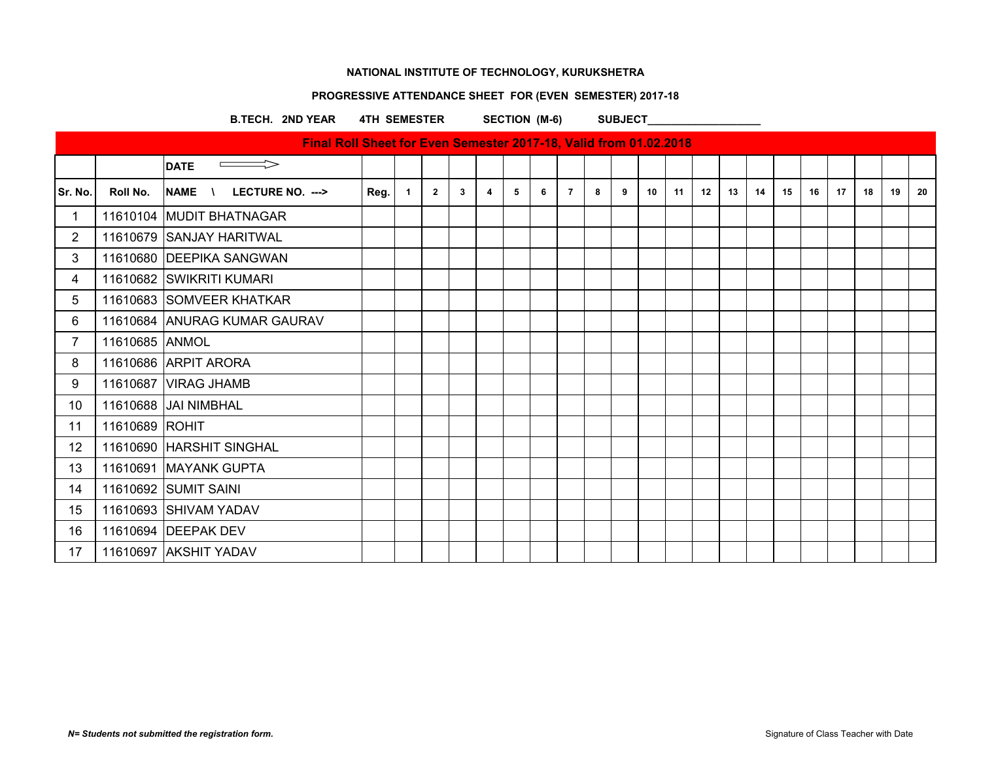## **PROGRESSIVE ATTENDANCE SHEET FOR (EVEN SEMESTER) 2017-18**

### B.TECH. 2ND YEAR 4TH SEMESTER SECTION (M-6) SUBJECT

|                |                |                                                  | Final Roll Sheet for Even Semester 2017-18, Valid from 01.02.2018 |                |                |              |   |   |   |                |   |   |    |    |    |    |    |    |    |    |    |    |    |
|----------------|----------------|--------------------------------------------------|-------------------------------------------------------------------|----------------|----------------|--------------|---|---|---|----------------|---|---|----|----|----|----|----|----|----|----|----|----|----|
|                |                | <b>DATE</b>                                      |                                                                   |                |                |              |   |   |   |                |   |   |    |    |    |    |    |    |    |    |    |    |    |
| Sr. No.        | Roll No.       | <b>NAME</b><br>LECTURE NO. ---><br>$\mathcal{N}$ | Reg.                                                              | $\overline{1}$ | $\overline{2}$ | $\mathbf{3}$ | 4 | 5 | 6 | $\overline{7}$ | 8 | 9 | 10 | 11 | 12 | 13 | 14 | 15 | 16 | 17 | 18 | 19 | 20 |
| $\mathbf 1$    |                | 11610104 MUDIT BHATNAGAR                         |                                                                   |                |                |              |   |   |   |                |   |   |    |    |    |    |    |    |    |    |    |    |    |
| 2              |                | 11610679 SANJAY HARITWAL                         |                                                                   |                |                |              |   |   |   |                |   |   |    |    |    |    |    |    |    |    |    |    |    |
| $\mathbf{3}$   |                | 11610680 DEEPIKA SANGWAN                         |                                                                   |                |                |              |   |   |   |                |   |   |    |    |    |    |    |    |    |    |    |    |    |
| 4              |                | 11610682 SWIKRITI KUMARI                         |                                                                   |                |                |              |   |   |   |                |   |   |    |    |    |    |    |    |    |    |    |    |    |
| 5              |                | 11610683 SOMVEER KHATKAR                         |                                                                   |                |                |              |   |   |   |                |   |   |    |    |    |    |    |    |    |    |    |    |    |
| 6              |                | 11610684 ANURAG KUMAR GAURAV                     |                                                                   |                |                |              |   |   |   |                |   |   |    |    |    |    |    |    |    |    |    |    |    |
| $\overline{7}$ | 11610685 ANMOL |                                                  |                                                                   |                |                |              |   |   |   |                |   |   |    |    |    |    |    |    |    |    |    |    |    |
| 8              |                | 11610686 ARPIT ARORA                             |                                                                   |                |                |              |   |   |   |                |   |   |    |    |    |    |    |    |    |    |    |    |    |
| 9              |                | 11610687 VIRAG JHAMB                             |                                                                   |                |                |              |   |   |   |                |   |   |    |    |    |    |    |    |    |    |    |    |    |
| 10             |                | 11610688 JJAI NIMBHAL                            |                                                                   |                |                |              |   |   |   |                |   |   |    |    |    |    |    |    |    |    |    |    |    |
| 11             | 11610689 ROHIT |                                                  |                                                                   |                |                |              |   |   |   |                |   |   |    |    |    |    |    |    |    |    |    |    |    |
| 12             |                | 11610690 HARSHIT SINGHAL                         |                                                                   |                |                |              |   |   |   |                |   |   |    |    |    |    |    |    |    |    |    |    |    |
| 13             |                | 11610691 MAYANK GUPTA                            |                                                                   |                |                |              |   |   |   |                |   |   |    |    |    |    |    |    |    |    |    |    |    |
| 14             |                | 11610692 SUMIT SAINI                             |                                                                   |                |                |              |   |   |   |                |   |   |    |    |    |    |    |    |    |    |    |    |    |
| 15             |                | 11610693 SHIVAM YADAV                            |                                                                   |                |                |              |   |   |   |                |   |   |    |    |    |    |    |    |    |    |    |    |    |
| 16             |                | 11610694 DEEPAK DEV                              |                                                                   |                |                |              |   |   |   |                |   |   |    |    |    |    |    |    |    |    |    |    |    |
| 17             |                | 11610697 AKSHIT YADAV                            |                                                                   |                |                |              |   |   |   |                |   |   |    |    |    |    |    |    |    |    |    |    |    |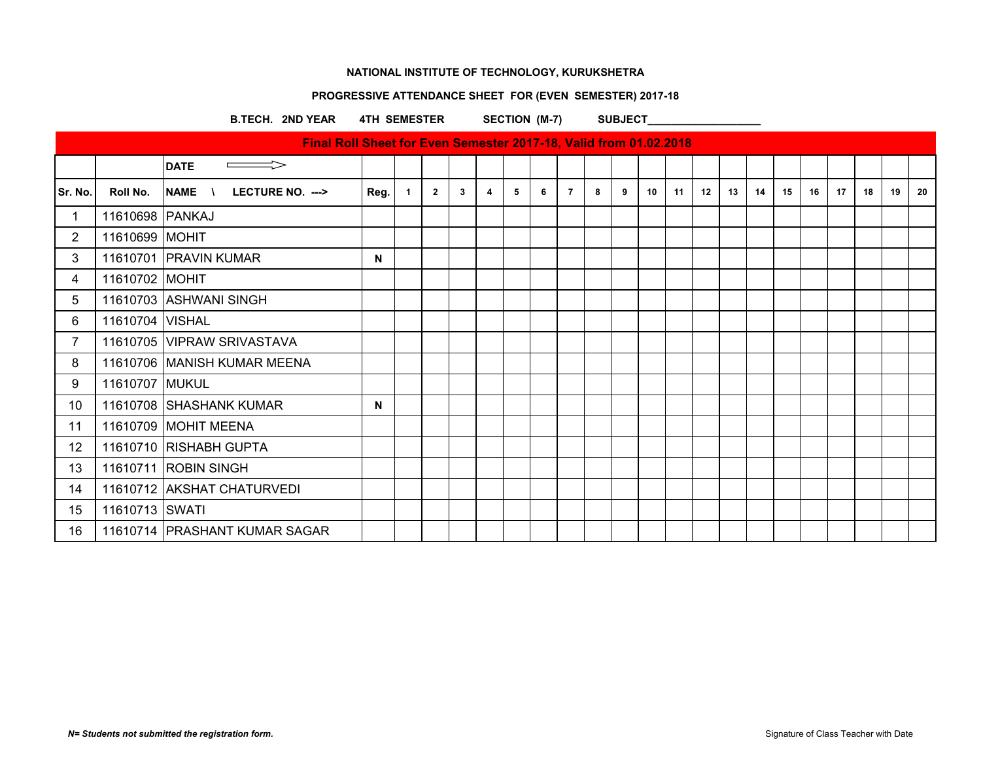## **PROGRESSIVE ATTENDANCE SHEET FOR (EVEN SEMESTER) 2017-18**

B.TECH. 2ND YEAR 4TH SEMESTER SECTION (M-7) SUBJECT

|                |                 | Final Roll Sheet for Even Semester 2017-18, Valid from 01.02.2018 |      |                |                |             |   |   |   |                |   |   |    |    |    |    |    |    |    |    |    |    |    |
|----------------|-----------------|-------------------------------------------------------------------|------|----------------|----------------|-------------|---|---|---|----------------|---|---|----|----|----|----|----|----|----|----|----|----|----|
|                |                 | <b>DATE</b>                                                       |      |                |                |             |   |   |   |                |   |   |    |    |    |    |    |    |    |    |    |    |    |
| Sr. No.        | Roll No.        | <b>NAME</b><br>LECTURE NO. ---><br>$\sqrt{ }$                     | Reg. | $\overline{1}$ | $\overline{2}$ | $3^{\circ}$ | 4 | 5 | 6 | $\overline{7}$ | 8 | 9 | 10 | 11 | 12 | 13 | 14 | 15 | 16 | 17 | 18 | 19 | 20 |
| 1              | 11610698 PANKAJ |                                                                   |      |                |                |             |   |   |   |                |   |   |    |    |    |    |    |    |    |    |    |    |    |
| $\overline{2}$ | 11610699 MOHIT  |                                                                   |      |                |                |             |   |   |   |                |   |   |    |    |    |    |    |    |    |    |    |    |    |
| 3              |                 | 11610701 PRAVIN KUMAR                                             | N    |                |                |             |   |   |   |                |   |   |    |    |    |    |    |    |    |    |    |    |    |
| 4              | 11610702 MOHIT  |                                                                   |      |                |                |             |   |   |   |                |   |   |    |    |    |    |    |    |    |    |    |    |    |
| 5              |                 | 11610703 ASHWANI SINGH                                            |      |                |                |             |   |   |   |                |   |   |    |    |    |    |    |    |    |    |    |    |    |
| 6              | 11610704 VISHAL |                                                                   |      |                |                |             |   |   |   |                |   |   |    |    |    |    |    |    |    |    |    |    |    |
| $\overline{7}$ |                 | 11610705 VIPRAW SRIVASTAVA                                        |      |                |                |             |   |   |   |                |   |   |    |    |    |    |    |    |    |    |    |    |    |
| 8              |                 | 11610706 MANISH KUMAR MEENA                                       |      |                |                |             |   |   |   |                |   |   |    |    |    |    |    |    |    |    |    |    |    |
| 9              | 11610707 MUKUL  |                                                                   |      |                |                |             |   |   |   |                |   |   |    |    |    |    |    |    |    |    |    |    |    |
| 10             |                 | 11610708 SHASHANK KUMAR                                           | N    |                |                |             |   |   |   |                |   |   |    |    |    |    |    |    |    |    |    |    |    |
| 11             |                 | 11610709 MOHIT MEENA                                              |      |                |                |             |   |   |   |                |   |   |    |    |    |    |    |    |    |    |    |    |    |
| 12             |                 | 11610710 RISHABH GUPTA                                            |      |                |                |             |   |   |   |                |   |   |    |    |    |    |    |    |    |    |    |    |    |
| 13             |                 | 11610711 ROBIN SINGH                                              |      |                |                |             |   |   |   |                |   |   |    |    |    |    |    |    |    |    |    |    |    |
| 14             |                 | 11610712 AKSHAT CHATURVEDI                                        |      |                |                |             |   |   |   |                |   |   |    |    |    |    |    |    |    |    |    |    |    |
| 15             | 11610713 SWATI  |                                                                   |      |                |                |             |   |   |   |                |   |   |    |    |    |    |    |    |    |    |    |    |    |
| 16             |                 | 11610714   PRASHANT KUMAR SAGAR                                   |      |                |                |             |   |   |   |                |   |   |    |    |    |    |    |    |    |    |    |    |    |